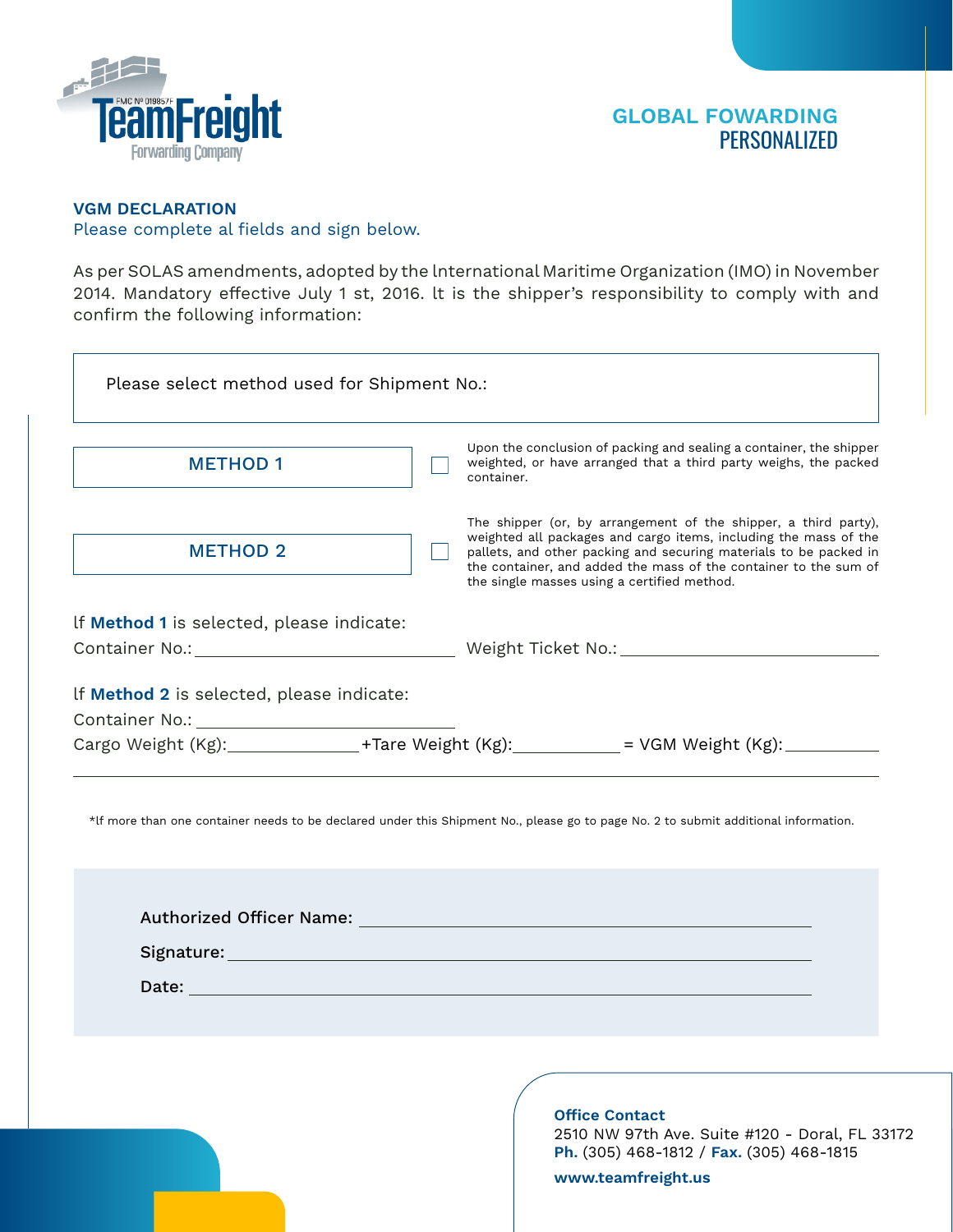

## **VGM DECLARATION**  Please complete al fields and sign below.

As per SOLAS amendments, adopted by the lnternational Maritime Organization (IMO) in November 2014. Mandatory effective July 1 st, 2016. lt is the shipper's responsibility to comply with and confirm the following information:

| Please select method used for Shipment No.: |                                                                                                                                                                                                                                                                                                                             |  |  |  |
|---------------------------------------------|-----------------------------------------------------------------------------------------------------------------------------------------------------------------------------------------------------------------------------------------------------------------------------------------------------------------------------|--|--|--|
| <b>METHOD 1</b>                             | Upon the conclusion of packing and sealing a container, the shipper<br>weighted, or have arranged that a third party weighs, the packed<br>container.                                                                                                                                                                       |  |  |  |
| <b>METHOD 2</b>                             | The shipper (or, by arrangement of the shipper, a third party),<br>weighted all packages and cargo items, including the mass of the<br>pallets, and other packing and securing materials to be packed in<br>the container, and added the mass of the container to the sum of<br>the single masses using a certified method. |  |  |  |
| If Method 1 is selected, please indicate:   |                                                                                                                                                                                                                                                                                                                             |  |  |  |
|                                             |                                                                                                                                                                                                                                                                                                                             |  |  |  |
| If Method 2 is selected, please indicate:   |                                                                                                                                                                                                                                                                                                                             |  |  |  |
|                                             | Cargo Weight (Kg): ________________+Tare Weight (Kg): __________ = VGM Weight (Kg): _______________                                                                                                                                                                                                                         |  |  |  |
|                                             | *If more than one container needs to be declared under this Shipment No., please go to page No. 2 to submit additional information.                                                                                                                                                                                         |  |  |  |
|                                             |                                                                                                                                                                                                                                                                                                                             |  |  |  |
|                                             |                                                                                                                                                                                                                                                                                                                             |  |  |  |
|                                             |                                                                                                                                                                                                                                                                                                                             |  |  |  |
|                                             |                                                                                                                                                                                                                                                                                                                             |  |  |  |
|                                             |                                                                                                                                                                                                                                                                                                                             |  |  |  |
|                                             | <b>Office Contact</b><br>2510 NW 97th Ave. Suite #120 - Doral, FL 33172<br>Ph. (305) 468-1812 / Fax. (305) 468-1815<br>www.teamfreight.us                                                                                                                                                                                   |  |  |  |